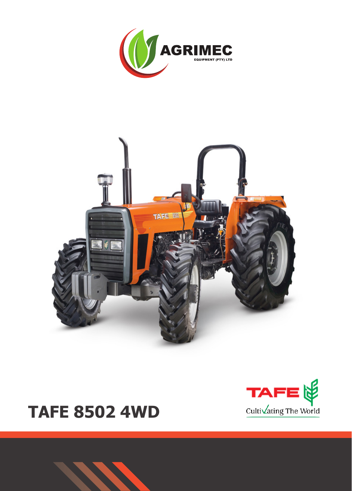





# **TAFE 8502 4WD**